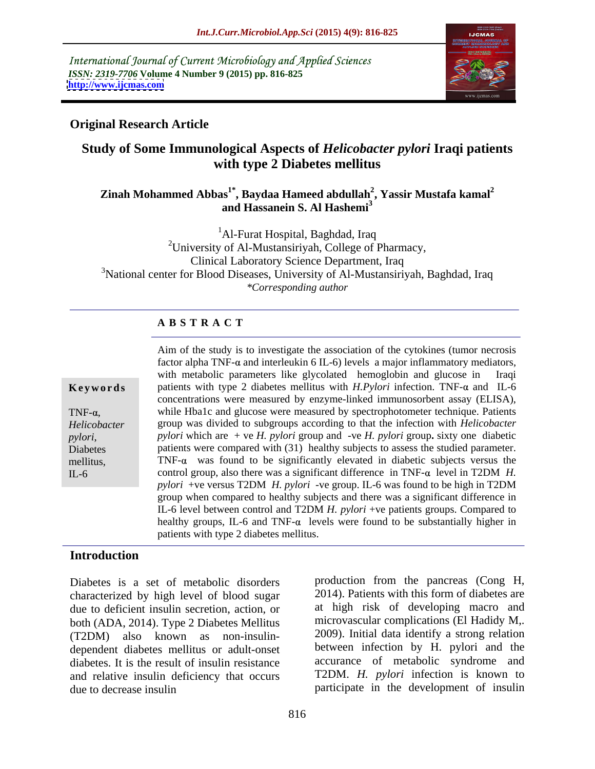International Journal of Current Microbiology and Applied Sciences *ISSN: 2319-7706* **Volume 4 Number 9 (2015) pp. 816-825 <http://www.ijcmas.com>**



## **Original Research Article**

## **Study of Some Immunological Aspects of** *Helicobacter pylori* **Iraqi patients with type 2 Diabetes mellitus**

### **Zinah Mohammed Abbas1\* , Baydaa Hameed abdullah<sup>2</sup> , Yassir Mustafa kamal2 and Hassanein S. Al Hashemi<sup>3</sup>**

<sup>1</sup>Al-Furat Hospital, Baghdad, Iraq 2University of Al-Mustansiriyah, College of Pharmacy, Clinical Laboratory Science Department, Iraq <sup>3</sup>National center for Blood Diseases, University of Al-Mustansiriyah, Baghdad, Iraq *\*Corresponding author*

### **A B S T R A C T**

 $IL-6$ 

Aim of the study is to investigate the association of the cytokines (tumor necrosis factor alpha TNF- $\alpha$  and interleukin 6 IL-6) levels a major inflammatory mediators, with metabolic parameters like glycolated hemoglobin and glucose in Iraqi **Keywords** patients with type 2 diabetes mellitus with *H.Pylori* infection. TNF- $\alpha$  and IL-6 concentrations were measured by enzyme-linked immunosorbent assay (ELISA), TNF- $\alpha$ , while Hba1c and glucose were measured by spectrophotometer technique. Patients group was divided to subgroups according to that the infection with *Helicobacter Helicobacter pylori* which are + ve *H. pylori* group and -ve *H. pylori* group**.** sixty one diabetic pylori, pylori which are + ve *H. pylori* group and -ve *H. pylori* group. sixty one diabetic parameter.<br>Diabetes patients were compared with (31) healthy subjects to assess the studied parameter. mellitus, TNF- $\alpha$  was found to be significantly elevated in diabetic subjects versus the control group, also there was a significant difference in TNF- $\alpha$  level in T2DM *H*. *pylori* +ve versus T2DM *H. pylori* -ve group. IL-6 was found to be high in T2DM group when compared to healthy subjects and there was a significant difference in IL-6 level between control and T2DM *H. pylori* +ve patients groups. Compared to healthy groups, IL-6 and TNF- $\alpha$  levels were found to be substantially higher in patients with type 2 diabetes mellitus.

### **Introduction**

Diabetes is a set of metabolic disorders characterized by high level of blood sugar due to deficient insulin secretion, action, or both (ADA, 2014). Type 2 Diabetes Mellitus (T2DM) also known as non-insulin dependent diabetes mellitus or adult-onset diabetes. It is the result of insulin resistance and relative insulin deficiency that occurs due to decrease insulin participate in the development of insulin

production from the pancreas (Cong H, 2014). Patients with this form of diabetes are at high risk of developing macro and microvascular complications (El Hadidy M,. 2009). Initial data identify a strong relation between infection by H. pylori and the accurance of metabolic syndrome and T2DM. *H. pylori* infection is known to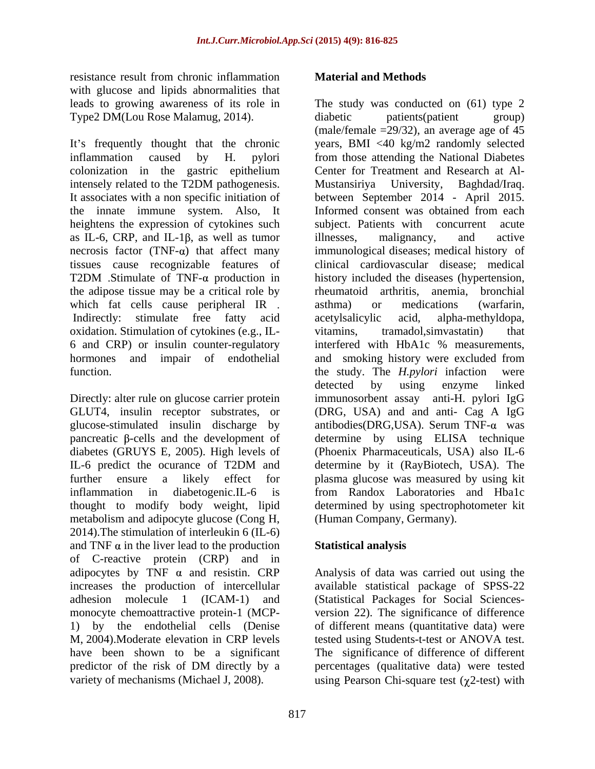resistance result from chronic inflammation **Material and Methods** with glucose and lipids abnormalities that leads to growing awareness of its role in Type2 DM(Lou Rose Malamug, 2014).

colonization in the gastric epithelium It associates with a non specific initiation of heightens the expression of cytokines such as IL-6, CRP, and IL-1 $\beta$ , as well as tumor illnesses, malignancy, and active the adipose tissue may be a critical role by the emator and arthritis, anemia, bronchial which fat cells cause peripheral IR . asthma) or medications (warfarin, oxidation. Stimulation of cytokines (e.g., IL- 6 and CRP) or insulin counter-regulatory

Directly: alter rule on glucose carrier protein thought to modify body weight, lipid metabolism and adipocyte glucose (Cong H, 2014).The stimulation of interleukin 6 (IL-6) and TNF  $\alpha$  in the liver lead to the production of C-reactive protein (CRP) and in adipocytes by TNF  $\alpha$  and resistin. CRP Analysis of data was carried out using the increases the production of intercellular available statistical package of SPSS-22 adhesion molecule 1 (ICAM-1) and monocyte chemoattractive protein-1 (MCP- version 22). The significance of difference 1) by the endothelial cells (Denise of different means (quantitative data) were M, 2004).Moderate elevation in CRP levels tested using Students-t-test or ANOVA test. have been shown to be a significant The significance of difference of different predictor of the risk of DM directly by a

It's frequently thought that the chronic years, BMI <40 kg/m2 randomly selected inflammation caused by H. pylori from those attending the National Diabetes intensely related to the T2DM pathogenesis. the innate immune system. Also, It Informed consent was obtained from each necrosis factor  $(TNF-\alpha)$  that affect many immunological diseases; medical history of tissues cause recognizable features of clinical cardiovascular disease; medical T2DM Stimulate of TNF- $\alpha$  production in history included the diseases (hypertension, Indirectly: stimulate free fatty acid acetylsalicylic acid, alpha-methyldopa, hormones and impair of endothelial and smoking history were excluded from function. **the study** The *H.pylori* infaction were GLUT4, insulin receptor substrates, or (DRG, USA) and and anti- Cag A IgG glucose-stimulated insulin discharge by antibodies(DRG,USA). Serum TNF-α was pancreatic  $\beta$ -cells and the development of determine by using ELISA technique diabetes (GRUYS E, 2005). High levels of (Phoenix Pharmaceuticals, USA) also IL-6 IL-6 predict the ocurance of T2DM and determine by it (RayBiotech, USA). The further ensure a likely effect for plasma glucose was measured by using kit inflammation in diabetogenic.IL-6 is from Randox Laboratories and Hba1c residence coalities the mechanisms (warian space of the mean wave consistence of the mean wave of the mean wave of the mean wave of the mean wave of the mean wave of the mean wave of the mean wave of the mean wave of the m The study was conducted on (61) type 2 diabetic patients(patient group) (male/female  $=29/32$ ), an average age of 45 Center for Treatment and Research at Al-Mustansiriya University, Baghdad/Iraq. between September 2014 - April 2015. subject. Patients with concurrent acute illnesses, malignancy, and active rheumatoid arthritis, anemia, bronchial asthma) or medications (warfarin, acetylsalicylic acid, alpha-methyldopa, tramadol, simvastatin) interfered with HbA1c % measurements, detected by using enzyme linked immunosorbent assay anti-H. pylori IgG determine by it (RayBiotech, USA). The determined by using spectrophotometer kit (Human Company, Germany).

## **Statistical analysis**

(Statistical Packages for Social Sciences percentages (qualitative data) were tested using Pearson Chi-square test  $(\gamma 2$ -test) with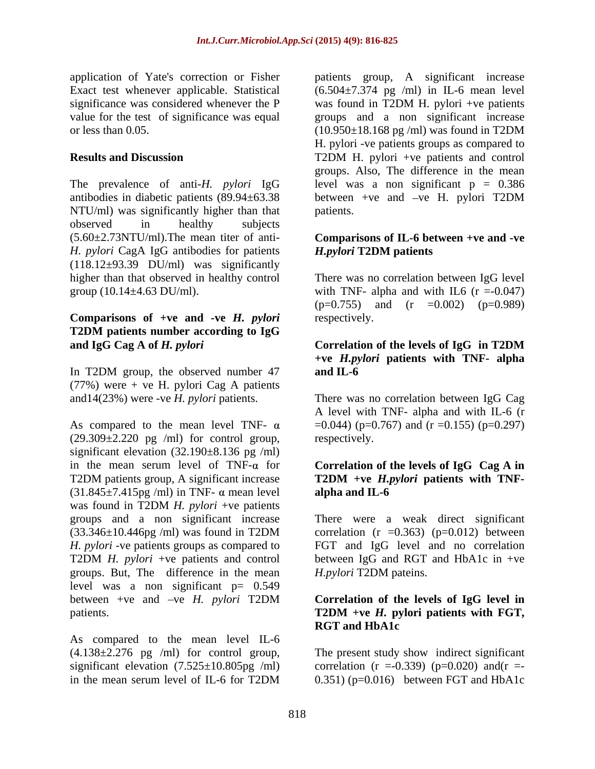application of Yate's correction or Fisher patients group, A significant increase

The prevalence of anti-*H. pylori* IgG antibodies in diabetic patients (89.94 $\pm$ 63.38 between +ve and -ve H. pylori T2DM NTU/ml) was significantly higher than that observed in healthy subjects (5.60±2.73NTU/ml).The mean titer of anti- **Comparisons of IL-6 between +ve and -ve**  *H. pylori* CagA IgG antibodies for patients  $(118.12\pm 93.39$  DU/ml) was significantly higher than that observed in healthy control There was no correlation between IgG level group  $(10.14 \pm 4.63 \text{ DU/ml})$ . with TNF- alpha and with IL6  $(r = -0.047)$ 

### **Comparisons of +ve and -ve** *H. pylori* **T2DM patients number according to IgG and IgG Cag A of** *H. pylori* Correlation of the levels of IgG in T2DM

In T2DM group, the observed number 47 and IL-6  $(77%)$  were + ve H. pylori Cag A patients

As compared to the mean level TNF-  $\alpha$  = 0.044) (p=0.767) and (r =0.155) (p=0.297)  $(29.309 \pm 2.220$  pg /ml) for control group, respectively. significant elevation (32.190±8.136 pg /ml) in the mean serum level of  $TNF-\alpha$  for **Correlation of the levels of IgG**  $Cag A$  in T2DM patients group, A significant increase  $T2DM +ve H.pylori$  patients with TNF- $(31.845\pm7.415\text{pg }$ /ml) in TNF-  $\alpha$  mean level alpha and IL-6 was found in T2DM *H. pylori* +ve patients groups and a non significant increase There were a weak direct significant  $(33.346\pm10.446\text{pg }/\text{ml})$  was found in T2DM correlation  $(r = 0.363)$   $(p=0.012)$  between *H. pylori* -ve patients groups as compared to FGT and IgG level and no correlation T2DM *H. pylori* +ve patients and control between IgG and RGT and HbA1c in +ve groups. But, The difference in the mean level was a non significant  $p= 0.549$ between +ve and ve *H. pylori* T2DM **Correlation of the levels of IgG level in** patients. T2DM +ve *H*. pylori patients with FGT,

As compared to the mean level IL-6  $(4.138\pm2.276$  pg /ml) for control group, The present study show indirect significant significant elevation  $(7.525 \pm 10.805 \text{pg } / \text{ml})$  correlation  $(r = 0.339)$   $(p=0.020)$  and $(r =$ 

Exact test whenever applicable. Statistical (6.504±7.374 pg /ml) in IL-6 mean level significance was considered whenever the P was found in T2DM H. pylori +ve patients value for the test of significance was equal groups and a non significant increase or less than 0.05. (10.950±18.168 pg /ml) was found in T2DM **Results and Discussion** T2DM H. pylori +ve patients and control H. pylori -ve patients groups as compared to T2DM H. pylori +ve patients and control groups. Also, The difference in the mean level was a non significant  $p = 0.386$ between +ve and -ve H. pylori T2DM patients.

# *H.pylori* **T2DM patients**

 $(p=0.755)$  and  $(r = 0.002)$   $(p=0.989)$ respectively.

### **Correlation of the levels of IgG in T2DM +ve** *H.pylori* **patients with TNF- alpha and IL-6**

and14(23%) were -ve *H. pylori* patients. There was no correlation between IgG Cag A level with TNF- alpha and with IL-6 (r respectively.

# **T2DM +ve** *H.pylori* **patients with TNF alpha and IL-6**

correlation  $(r = 0.363)$   $(p=0.012)$  between *H.pylori* T2DM pateins.

# **T2DM +ve** *H.* **pylori patients with FGT, RGT and HbA1c**

in the mean serum level of IL-6 for T2DM  $0.351$  (p=0.016) between FGT and HbA1c  $(0.351)$  ( $p=0.016$ ) between FGT and HbA1c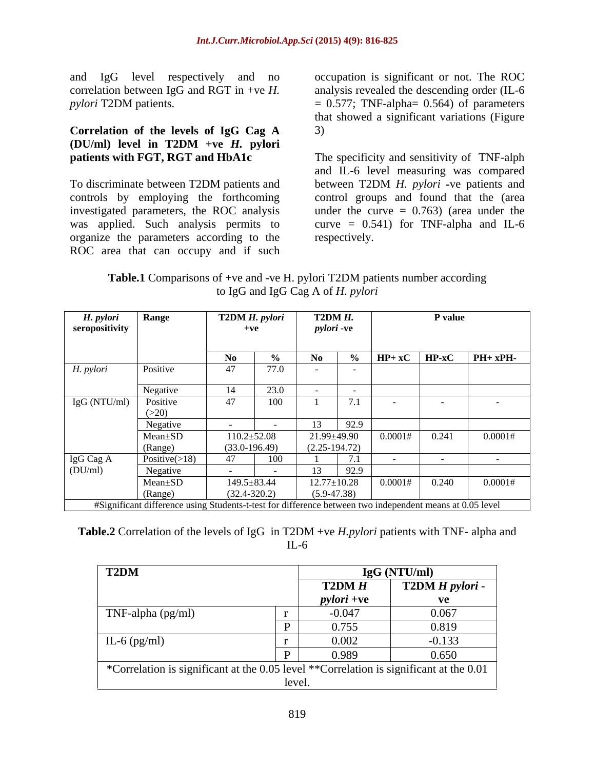and IgG level respectively and no correlation between IgG and RGT in +ve *H*. analysis revealed the descending order (IL-6  $p$ *pylori* **T2DM** patients.  $= 0.577$ ; **TNF-alpha** $= 0.564$ ) of parameters

## **Correlation of the levels of IgG Cag A (DU/ml) level in T2DM +ve** *H.* **pylori**

organize the parameters according to the ROC area that can occupy and if such

occupation is significant or not. The ROC analysis revealed the descending order (IL-6<br>= 0.577; TNF-alpha= 0.564) of parameters that showed a significant variations (Figure 3)

**patients with FGT, RGT and HbA1c** The specificity and sensitivity of TNF-alph To discriminate between T2DM patients and between T2DM H. pylori -ve patients and controls by employing the forthcoming control groups and found that the (area investigated parameters, the ROC analysis under the curve = 0.763) (area under the was applied. Such analysis permits to curve = 0.541) for TNF-alpha and IL-6 and IL-6 level measuring was compared between T2DM *H. pylori* -ve patients and respectively.

| Table.1 C<br>T2DM p<br>Comparisons of $+ve$ and $-ve$ H.<br>DVION<br>A patients number according |  |
|--------------------------------------------------------------------------------------------------|--|
| $\sigma G$ and lgG $\sim$<br>pylori<br>A of H<br>to Ig<br>. .                                    |  |

| H. pylori             | <b>Range</b>              | T2DM H. pylori                                                                                           | T2DM H.           |                                 | P value                                                                                 |         |
|-----------------------|---------------------------|----------------------------------------------------------------------------------------------------------|-------------------|---------------------------------|-----------------------------------------------------------------------------------------|---------|
| seropositivity        |                           |                                                                                                          | <i>pylori</i> -ve |                                 |                                                                                         |         |
|                       |                           |                                                                                                          |                   |                                 |                                                                                         |         |
|                       |                           | No.                                                                                                      | - No              |                                 | $\begin{array}{ c c c c c c c c c } \hline \end{array}$ (9%   HP+ xC   HP-xC   PH+ xPH- |         |
| H. pylori             | Positive                  | 77.0<br>47                                                                                               | $\sim$ $-$        |                                 |                                                                                         |         |
|                       |                           |                                                                                                          |                   |                                 |                                                                                         |         |
|                       | Negative                  | 230                                                                                                      | $\sim$ $\sim$     |                                 |                                                                                         |         |
| IgG (NTU/ml) Positive |                           | 100<br>47                                                                                                | /1.1              |                                 |                                                                                         |         |
|                       |                           |                                                                                                          |                   |                                 |                                                                                         |         |
|                       | <b>Negative</b><br>$\sim$ |                                                                                                          | 92.9              |                                 |                                                                                         |         |
|                       | $Mean \pm SD$             | $110.2 \pm 52.08$                                                                                        | 21.99±49.90       | 0.0001#                         | 0.241                                                                                   | 0.0001# |
|                       | (Range)                   | $(33.0-196.49)$                                                                                          | $(2.25-194.72)$   |                                 |                                                                                         |         |
| IgG Cag A             | Positive $(>18)$          | 100<br>47                                                                                                |                   |                                 |                                                                                         |         |
| (DU/ml)               | Negative                  |                                                                                                          | 92.9              |                                 |                                                                                         |         |
|                       | $Mean \pm SD$             | $149.5 \pm 83.44$                                                                                        |                   | $12.77 \pm 10.28$ 0.0001# 0.240 |                                                                                         | 0.0001# |
|                       | $(Ran$ ge)                | $(32.4 - 320.2)$                                                                                         | $(5.9 - 47.38)$   |                                 |                                                                                         |         |
|                       |                           | #Significant difference using Students-t-test for difference between two independent means at 0.05 level |                   |                                 |                                                                                         |         |

**Table.2** Correlation of the levels of IgG in T2DM +ve *H.pylori* patients with TNF- alpha and IL-6

| T2DM                                                                                     |                   | IgG (NTU/ml)                  |
|------------------------------------------------------------------------------------------|-------------------|-------------------------------|
|                                                                                          | T2DMH             | <b>T2DM</b> <i>H</i> pylori - |
|                                                                                          | <i>pylori</i> +ve | vл                            |
| TNF-alpha (pg/ml)                                                                        | $-0.047$          | 0.067                         |
|                                                                                          | 0.755             | 0.819                         |
| IL-6 (pg/ml)                                                                             | 0.002             | $-0.133$                      |
|                                                                                          | 0.989             | 0.650                         |
| *Correlation is significant at the 0.05 level **Correlation is significant at the $0.01$ |                   |                               |
|                                                                                          |                   |                               |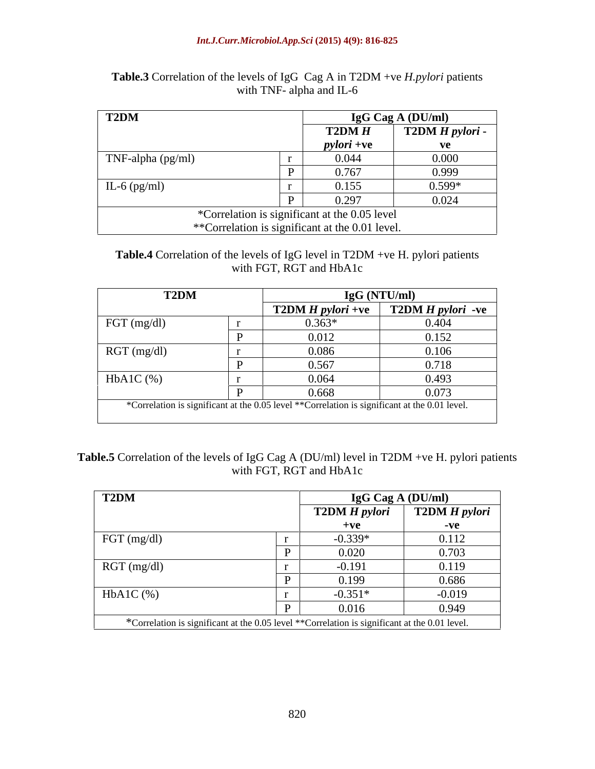### *Int.J.Curr.Microbiol.App.Sci* **(2015) 4(9): 816-825**

| T2DM                 |                                                                                                   | <b>IgG Cag A (DU/ml)</b>          |
|----------------------|---------------------------------------------------------------------------------------------------|-----------------------------------|
|                      | T2DMH                                                                                             | $\boxed{\text{T2DM } H}$ pylori - |
|                      | <i>pylori</i> +ve                                                                                 | ve                                |
| TNF-alpha (pg/ml)    | 0.044                                                                                             | 0.000                             |
|                      | 0.767                                                                                             | 0.999                             |
| $\vert$ IL-6 (pg/ml) | 0.155                                                                                             | $0.599*$                          |
|                      | 0.297                                                                                             | 0.024                             |
|                      | *Correlation is significant at the 0.05 level.<br>**Correlation is significant at the 0.01 level. |                                   |

### **Table.3** Correlation of the levels of IgG Cag A in T2DM +ve *H.pylori* patients with TNF- alpha and IL-6

### **Table.4** Correlation of the levels of IgG level in T2DM +ve H. pylori patients with FGT, RGT and HbA1c

| <b>T2DM</b>         |                                                                                               | IgG (NTU/ml)                                                        |
|---------------------|-----------------------------------------------------------------------------------------------|---------------------------------------------------------------------|
|                     |                                                                                               | $\boxed{\text{T2DM H}$ pylori +ve $\boxed{\text{T2DM H}$ pylori -ve |
| $\vert$ FGT (mg/dl) | $0.363*$                                                                                      | 0.404                                                               |
|                     | 0.012                                                                                         | 0.152                                                               |
| RGT(mg/dl)          | 0.086                                                                                         | 0.106                                                               |
|                     | 0.567                                                                                         | 0.718                                                               |
| $HbA1C$ (%)         | 0.064                                                                                         | 0.493                                                               |
|                     | 0.668                                                                                         | 0.073                                                               |
|                     | *Correlation is significant at the 0.05 level **Correlation is significant at the 0.01 level. |                                                                     |
|                     |                                                                                               |                                                                     |

## **Table.5** Correlation of the levels of IgG Cag A (DU/ml) level in T2DM +ve H. pylori patients with FGT, RGT and HbA1c

| T2DM                                                                                          | <b>IgG Cag A (DU/ml)</b> |                      |
|-----------------------------------------------------------------------------------------------|--------------------------|----------------------|
|                                                                                               | <b>T2DM H</b> pylori     | <b>T2DM</b> H pylori |
|                                                                                               | $+ve$                    | $-{\bf v}e$          |
| $\vert$ FGT (mg/dl)                                                                           | $-0.339*$                | 0.112                |
|                                                                                               | 0.020                    | 0.703                |
| RGT(mg/dl)                                                                                    | $-0.191$                 | 0.119                |
|                                                                                               | 0.199                    | 0.686                |
| $HbA1C$ (%)                                                                                   | $-0.351*$                | $-0.019$             |
|                                                                                               | 0.016                    | 0.949                |
| *Correlation is significant at the 0.05 level **Correlation is significant at the 0.01 level. |                          |                      |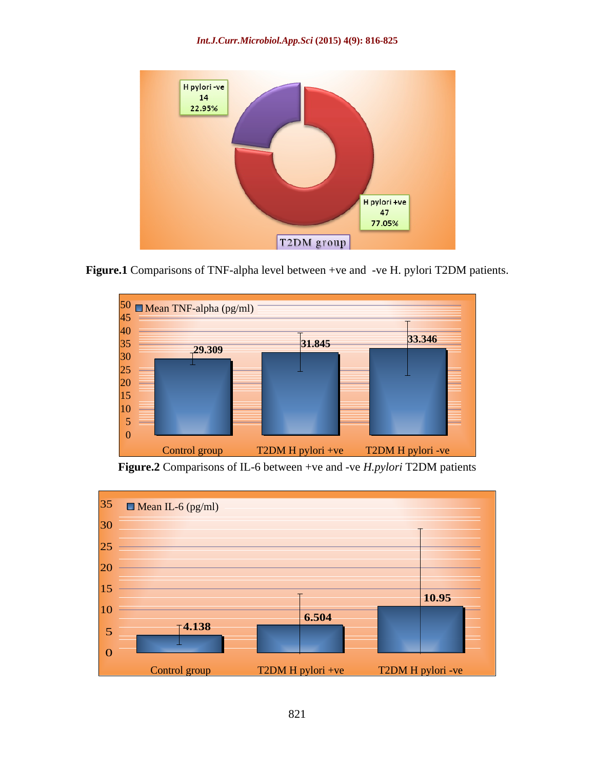

**Figure.1** Comparisons of TNF-alpha level between +ve and -ve H. pylori T2DM patients.



**Figure.2** Comparisons of IL-6 between +ve and -ve *H.pylori* T2DM patients

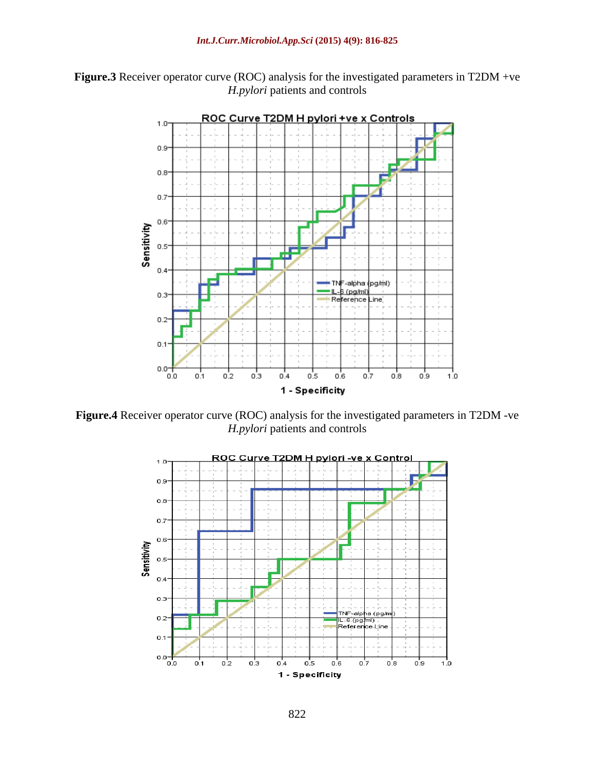**Figure.3** Receiver operator curve (ROC) analysis for the investigated parameters in T2DM +ve *H.pylori* patients and controls



**Figure.4** Receiver operator curve (ROC) analysis for the investigated parameters in T2DM -ve *H.pylori* patients and controls

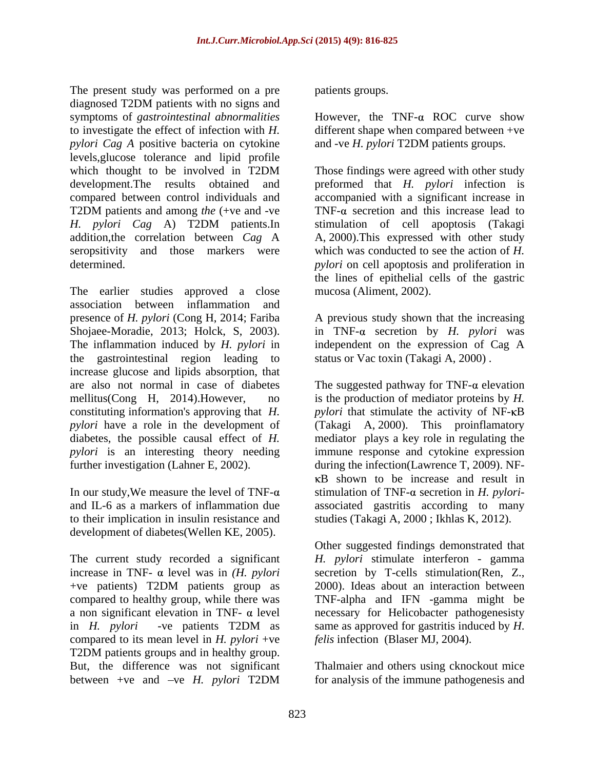The present study was performed on a pre diagnosed T2DM patients with no signs and symptoms of *gastrointestinal abnormalities* However, the TNF- $\alpha$  ROC curve show to investigate the effect of infection with *H.*  different shape when compared between +ve *pylori Cag A* positive bacteria on cytokine levels,glucose tolerance and lipid profile which thought to be involved in T2DM Those findings were agreed with other study development.The results obtained and preformed that *H. pylori* infection is compared between control individuals and T2DM patients and among *the* (+ve and -ve *H. pylori Cag* A) T2DM patients.In stimulation of cell apoptosis (Takagi addition,the correlation between *Cag* A A, 2000).This expressed with other study seropsitivity and those markers were which was conducted to see the action of *H.*  determined. *pylori* on cell apoptosis and proliferation in

The earlier studies approved a close association between inflammation and presence of *H. pylori* (Cong H, 2014; Fariba A previous study shown that the increasing Shojaee-Moradie, 2013; Holck, S, 2003). In TNF- $\alpha$  secretion by *H. pylori* was<br>The inflammation induced by *H. pylori* in lindependent on the expression of Cag A the gastrointestinal region leading to increase glucose and lipids absorption, that are also not normal in case of diabetes The suggested pathway for  $TNF-\alpha$  elevation mellitus(Cong H, 2014).However, no is the production of mediator proteins by *H.*  constituting information's approving that *H*. *pylori* that stimulate the activity of NF- $\kappa$ B *pylori* have a role in the development of (Takagi A, 2000). This proinflamatory diabetes, the possible causal effect of *H.*  mediator plays a key role in regulating the *pylori* is an interesting theory needing immune response and cytokine expression

In our study, We measure the level of TNF- $\alpha$ development of diabetes(Wellen KE, 2005).

The current study recorded a significant increase in TNF-  $\alpha$  level was in *(H. pylori* secretion by T-cells stimulation(Ren, Z., +ve patients) T2DM patients group as 2000). Ideas about an interaction between compared to healthy group, while there was TNF-alpha and IFN -gamma might be a non significant elevation in TNF-  $\alpha$  level necessary for Helicobacter pathogenesisty in *H. pylori* -ve patients T2DM as compared to its mean level in *H. pylori* +ve T2DM patients groups and in healthy group. But, the difference was not significant

patients groups.

and -ve *H. pylori* T2DM patients groups.

Those findings were agreed with other study accompanied with a significant increase in TNF- $\alpha$  secretion and this increase lead to the lines of epithelial cells of the gastric mucosa (Aliment, 2002).

in TNF- $\alpha$  secretion by *H. pylori* was independent on the expression of Cag A status or Vac toxin (Takagi A, 2000) .

further investigation (Lahner E, 2002). during the infection(Lawrence T, 2009). NF and IL-6 as a markers of inflammation due associated gastritis according to many to their implication in insulin resistance and studies (Takagi A, 2000 ; Ikhlas K, 2012).  $\kappa$ B shown to be increase and result in stimulation of TNF- $\alpha$  secretion in *H. pylori-*

> Other suggested findings demonstrated that *H. pylori* stimulate interferon - gamma secretion by T-cells stimulation(Ren, Z., 2000). Ideas about an interaction between same as approved for gastritis induced by *H*. *felis* infection (Blaser MJ, 2004).

between +ve and -ve *H. pylori* T2DM for analysis of the immune pathogenesis and Thalmaier and others using cknockout mice for analysis of the immune pathogenesis and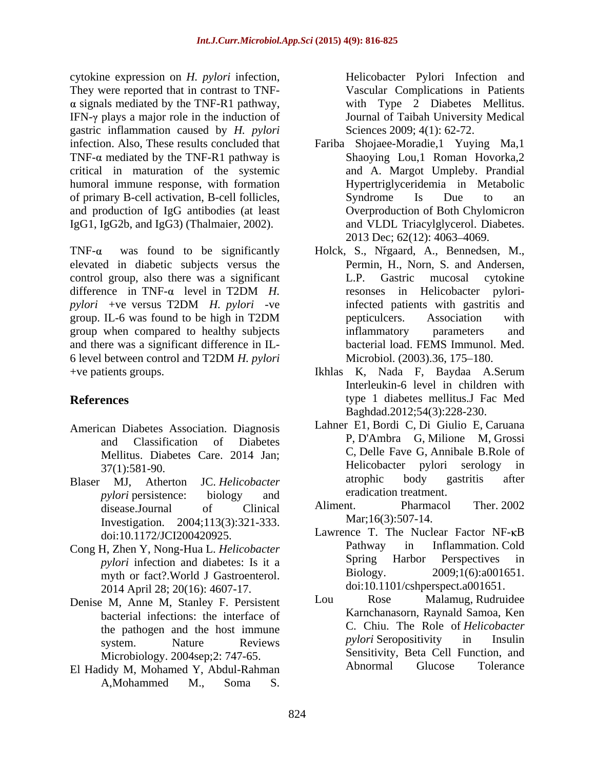cytokine expression on *H. pylori* infection, They were reported that in contrast to TNF-  $\alpha$  signals mediated by the TNF-R1 pathway, IFN- $\gamma$  plays a major role in the induction of gastric inflammation caused by *H. pylori* TNF- $\alpha$  mediated by the TNF-R1 pathway is critical in maturation of the systemic humoral immune response, with formation of primary B-cell activation, B-cell follicles, and production of IgG antibodies (at least IgG1, IgG2b, and IgG3) (Thalmaier, 2002). e expression on *H*, pelicivitalities (and in the simulation and *R* pelicivitality (and infection and model in the number of the simulation by the number of the simulation and the matter of the system inferred with the p

elevated in diabetic subjects versus the control group, also there was a significant L.P. Gastric mucosal cytokine group when compared to healthy subjects and there was a significant difference in IL- 6 level between control and T2DM *H. pylori* +ve patients groups. Ikhlas K, Nada F, Baydaa A.Serum

- American Diabetes Association. Diagnosis
- *pylori* persistence: biology and eradication treatment. Investigation. 2004;113(3):321-333.
- *pylori* infection and diabetes: Is it a **Spring**<br>myth or fact? World I Gastroenterol **Biology**. myth or fact?.World J Gastroenterol. 2014 April 28; 20(16): 4607-17. doi:10.1101/cshperspect.a001651.<br>M. Anne M. Stanley E. Persistent Lou Rose Malamug. Rudruidee
- Denise M, Anne M, Stanley F. Persistent bacterial infections: the interface of
- El Hadidy M, Mohamed Y, Abdul-Rahman

Vascular Complications in Patients with Type 2 Diabetes Mellitus. Journal of Taibah University Medical Sciences 2009; 4(1): 62-72.

- infection. Also, These results concluded that Fariba Shojaee-Moradie,1 Yuying Ma,1 Shaoying Lou,1 Roman Hovorka,2 and A. Margot Umpleby. Prandial Hypertriglyceridemia in Metabolic Syndrome Is Due to an Overproduction of Both Chylomicron and VLDL Triacylglycerol. Diabetes. 2013 Dec; 62(12): 4063-4069.
- TNF- $\alpha$  was found to be significantly Holck, S., Nrgaard, A., Bennedsen, M., difference in TNF-a level in T2DM *H*. *resonses* in Helicobacter pylori*pylori* +ve versus T2DM *H. pylori* -ve group. IL-6 was found to be high in T2DM Permin, H., Norn, S. and Andersen, L.P. Gastric mucosal cytokine resonses in Helicobacter pyloriinfected patients with gastritis and pepticulcers. Association with inflammatory parameters and bacterial load. FEMS Immunol. Med. Microbiol. (2003).36, 175-180.
- **References** type 1 diabetes mellitus.J Fac Med Interleukin-6 level in children with Baghdad.2012;54(3):228-230.
- and Classification of Diabetes  $P, D'Ambra$  G, Millione M, Grossi Mellitus. Diabetes Care. 2014 Jan; C, Delle Fave G, Annibale B.Role of  $\frac{27(1) \cdot 581.00}{27(1) \cdot 581.00}$  Melicobacter pylori serology in 37(1):581-90. Helicobacter pylori serology in Blaser MJ, Atherton JC. *Helicobacter*  Lahner E1, Bordi C, Di Giulio E, Caruana P, D'Ambra G, Milione M, Grossi C, Delle Fave G, Annibale B.Role of atrophic body gastritis after eradication treatment.
	- disease.Journal of Clinical Aliment. Pharmacol Ther. 2002 Aliment. Pharmacol Ther. 2002 Mar;16(3):507-14.
- doi:10.1172/JCI200420925. Lawrence T. The Nuclear Factor NF-KB Cong H, Zhen Y, Nong-Hua L. *Helicobacter* Pathway in Inflammation. Cold<br>
mylori infection and diabetes: Is it a Spring Harbor Perspectives in Pathway in Inflammation. Cold Spring Harbor Perspectives in  $2009;1(6):a001651.$ doi:10.1101/cshperspect.a001651.
	- the pathogen and the host immune<br>system Nature Reviews *pylori* Seropositivity in Insulin system. Nature Reviews *pylori* Seropositivity in Insulin Microbiology. 2004sep;2: 747-65. Lou Rose Malamug, Rudruidee Karnchanasorn, Raynald Samoa, Ken C. Chiu. The Role of *Helicobacter pylori* Seropositivity in Insulin Sensitivity, Beta Cell Function, and Abnormal Glucose Tolerance